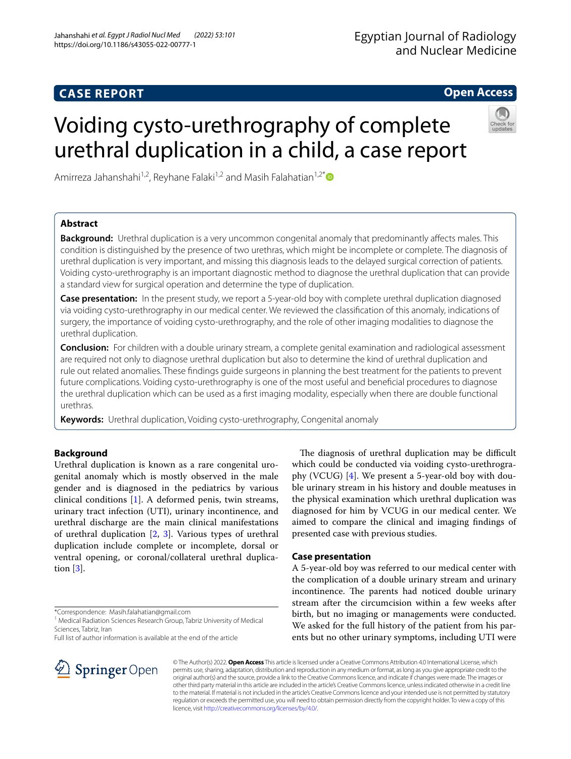## **CASE REPORT**

## **Open Access**

# Voiding cysto-urethrography of complete urethral duplication in a child, a case report



## **Abstract**

**Background:** Urethral duplication is a very uncommon congenital anomaly that predominantly afects males. This condition is distinguished by the presence of two urethras, which might be incomplete or complete. The diagnosis of urethral duplication is very important, and missing this diagnosis leads to the delayed surgical correction of patients. Voiding cysto-urethrography is an important diagnostic method to diagnose the urethral duplication that can provide a standard view for surgical operation and determine the type of duplication.

**Case presentation:** In the present study, we report a 5-year-old boy with complete urethral duplication diagnosed via voiding cysto-urethrography in our medical center. We reviewed the classifcation of this anomaly, indications of surgery, the importance of voiding cysto-urethrography, and the role of other imaging modalities to diagnose the urethral duplication.

**Conclusion:** For children with a double urinary stream, a complete genital examination and radiological assessment are required not only to diagnose urethral duplication but also to determine the kind of urethral duplication and rule out related anomalies. These fndings guide surgeons in planning the best treatment for the patients to prevent future complications. Voiding cysto-urethrography is one of the most useful and benefcial procedures to diagnose the urethral duplication which can be used as a frst imaging modality, especially when there are double functional urethras.

**Keywords:** Urethral duplication, Voiding cysto-urethrography, Congenital anomaly

## **Background**

Urethral duplication is known as a rare congenital urogenital anomaly which is mostly observed in the male gender and is diagnosed in the pediatrics by various clinical conditions [\[1](#page-3-0)]. A deformed penis, twin streams, urinary tract infection (UTI), urinary incontinence, and urethral discharge are the main clinical manifestations of urethral duplication [\[2](#page-3-1), [3](#page-3-2)]. Various types of urethral duplication include complete or incomplete, dorsal or ventral opening, or coronal/collateral urethral duplication [[3\]](#page-3-2).

\*Correspondence: Masih.falahatian@gmail.com

<sup>1</sup> Medical Radiation Sciences Research Group, Tabriz University of Medical Sciences, Tabriz, Iran

Full list of author information is available at the end of the article



### **Case presentation**

A 5-year-old boy was referred to our medical center with the complication of a double urinary stream and urinary incontinence. The parents had noticed double urinary stream after the circumcision within a few weeks after birth, but no imaging or managements were conducted. We asked for the full history of the patient from his parents but no other urinary symptoms, including UTI were



© The Author(s) 2022. **Open Access** This article is licensed under a Creative Commons Attribution 4.0 International License, which permits use, sharing, adaptation, distribution and reproduction in any medium or format, as long as you give appropriate credit to the original author(s) and the source, provide a link to the Creative Commons licence, and indicate if changes were made. The images or other third party material in this article are included in the article's Creative Commons licence, unless indicated otherwise in a credit line to the material. If material is not included in the article's Creative Commons licence and your intended use is not permitted by statutory regulation or exceeds the permitted use, you will need to obtain permission directly from the copyright holder. To view a copy of this licence, visit [http://creativecommons.org/licenses/by/4.0/.](http://creativecommons.org/licenses/by/4.0/)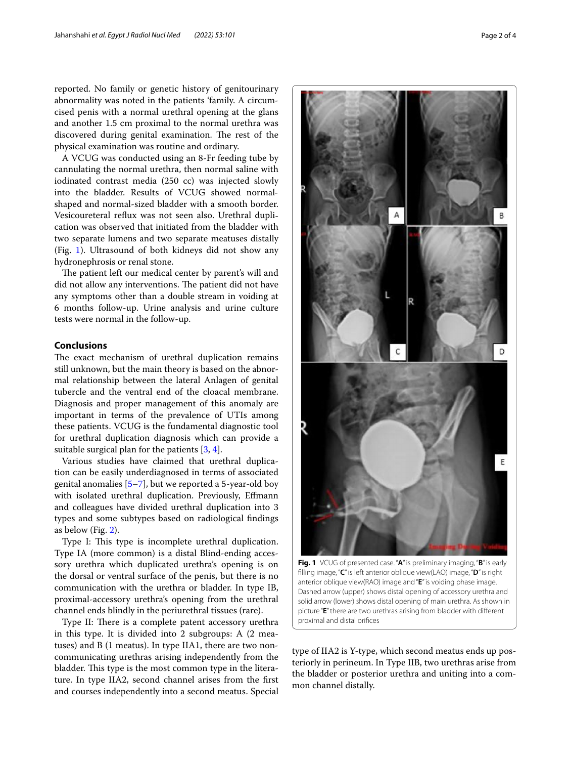reported. No family or genetic history of genitourinary abnormality was noted in the patients 'family. A circumcised penis with a normal urethral opening at the glans and another 1.5 cm proximal to the normal urethra was discovered during genital examination. The rest of the physical examination was routine and ordinary.

A VCUG was conducted using an 8-Fr feeding tube by cannulating the normal urethra, then normal saline with iodinated contrast media (250 cc) was injected slowly into the bladder. Results of VCUG showed normalshaped and normal-sized bladder with a smooth border. Vesicoureteral refux was not seen also. Urethral duplication was observed that initiated from the bladder with two separate lumens and two separate meatuses distally (Fig. [1\)](#page-1-0). Ultrasound of both kidneys did not show any hydronephrosis or renal stone.

The patient left our medical center by parent's will and did not allow any interventions. The patient did not have any symptoms other than a double stream in voiding at 6 months follow-up. Urine analysis and urine culture tests were normal in the follow-up.

#### **Conclusions**

The exact mechanism of urethral duplication remains still unknown, but the main theory is based on the abnormal relationship between the lateral Anlagen of genital tubercle and the ventral end of the cloacal membrane. Diagnosis and proper management of this anomaly are important in terms of the prevalence of UTIs among these patients. VCUG is the fundamental diagnostic tool for urethral duplication diagnosis which can provide a suitable surgical plan for the patients [\[3](#page-3-2), [4\]](#page-3-3).

Various studies have claimed that urethral duplication can be easily underdiagnosed in terms of associated genital anomalies [\[5](#page-3-4)[–7](#page-3-5)], but we reported a 5-year-old boy with isolated urethral duplication. Previously, Efmann and colleagues have divided urethral duplication into 3 types and some subtypes based on radiological fndings as below (Fig. [2](#page-2-0)).

Type I: This type is incomplete urethral duplication. Type IA (more common) is a distal Blind-ending accessory urethra which duplicated urethra's opening is on the dorsal or ventral surface of the penis, but there is no communication with the urethra or bladder. In type IB, proximal-accessory urethra's opening from the urethral channel ends blindly in the periurethral tissues (rare).

Type II: There is a complete patent accessory urethra in this type. It is divided into 2 subgroups: A (2 meatuses) and B (1 meatus). In type IIA1, there are two noncommunicating urethras arising independently from the bladder. This type is the most common type in the literature. In type IIA2, second channel arises from the frst and courses independently into a second meatus. Special





<span id="page-1-0"></span>**Fig. 1** VCUG of presented case. "**A**" is preliminary imaging, "**B**" is early flling image, "**C**" is left anterior oblique view(LAO) image, "**D**" is right anterior oblique view(RAO) image and "**E**" is voiding phase image. Dashed arrow (upper) shows distal opening of accessory urethra and solid arrow (lower) shows distal opening of main urethra. As shown in picture "**E**" there are two urethras arising from bladder with diferent proximal and distal orifces

type of IIA2 is Y-type, which second meatus ends up posteriorly in perineum. In Type IIB, two urethras arise from the bladder or posterior urethra and uniting into a common channel distally.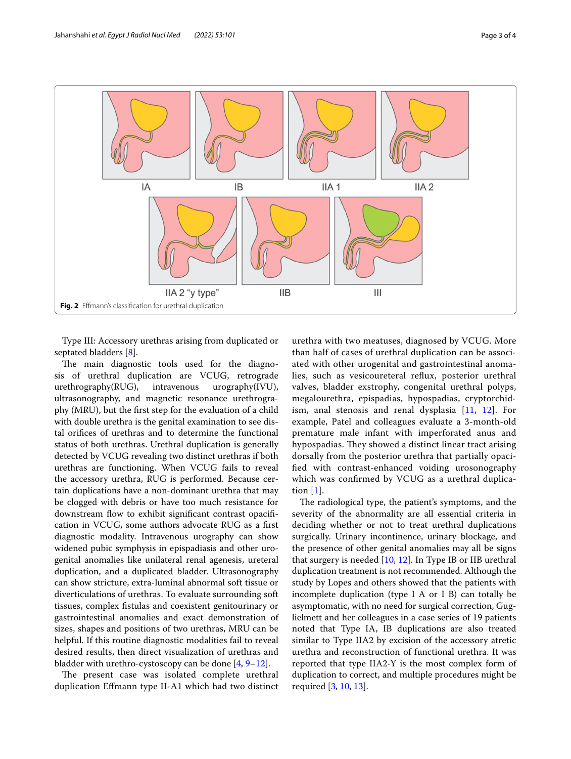

<span id="page-2-0"></span>Type III: Accessory urethras arising from duplicated or septated bladders [[8\]](#page-3-6).

The main diagnostic tools used for the diagnosis of urethral duplication are VCUG, retrograde urethrography(RUG), intravenous urography(IVU), ultrasonography, and magnetic resonance urethrography (MRU), but the frst step for the evaluation of a child with double urethra is the genital examination to see distal orifces of urethras and to determine the functional status of both urethras. Urethral duplication is generally detected by VCUG revealing two distinct urethras if both urethras are functioning. When VCUG fails to reveal the accessory urethra, RUG is performed. Because certain duplications have a non-dominant urethra that may be clogged with debris or have too much resistance for downstream flow to exhibit significant contrast opacification in VCUG, some authors advocate RUG as a frst diagnostic modality. Intravenous urography can show widened pubic symphysis in epispadiasis and other urogenital anomalies like unilateral renal agenesis, ureteral duplication, and a duplicated bladder. Ultrasonography can show stricture, extra-luminal abnormal soft tissue or diverticulations of urethras. To evaluate surrounding soft tissues, complex fstulas and coexistent genitourinary or gastrointestinal anomalies and exact demonstration of sizes, shapes and positions of two urethras, MRU can be helpful. If this routine diagnostic modalities fail to reveal desired results, then direct visualization of urethras and bladder with urethro-cystoscopy can be done  $[4, 9-12]$  $[4, 9-12]$  $[4, 9-12]$  $[4, 9-12]$ .

The present case was isolated complete urethral duplication Efmann type II-A1 which had two distinct

urethra with two meatuses, diagnosed by VCUG. More than half of cases of urethral duplication can be associated with other urogenital and gastrointestinal anomalies, such as vesicoureteral refux, posterior urethral valves, bladder exstrophy, congenital urethral polyps, megalourethra, epispadias, hypospadias, cryptorchidism, anal stenosis and renal dysplasia [[11](#page-3-9), [12](#page-3-8)]. For example, Patel and colleagues evaluate a 3-month-old premature male infant with imperforated anus and hypospadias. They showed a distinct linear tract arising dorsally from the posterior urethra that partially opacifed with contrast-enhanced voiding urosonography which was confrmed by VCUG as a urethral duplication [[1\]](#page-3-0).

The radiological type, the patient's symptoms, and the severity of the abnormality are all essential criteria in deciding whether or not to treat urethral duplications surgically. Urinary incontinence, urinary blockage, and the presence of other genital anomalies may all be signs that surgery is needed [[10,](#page-3-10) [12](#page-3-8)]. In Type IB or IIB urethral duplication treatment is not recommended. Although the study by Lopes and others showed that the patients with incomplete duplication (type I A or I B) can totally be asymptomatic, with no need for surgical correction, Guglielmett and her colleagues in a case series of 19 patients noted that Type IA, IB duplications are also treated similar to Type IIA2 by excision of the accessory atretic urethra and reconstruction of functional urethra. It was reported that type IIA2-Y is the most complex form of duplication to correct, and multiple procedures might be required [\[3](#page-3-2), [10,](#page-3-10) [13\]](#page-3-11).